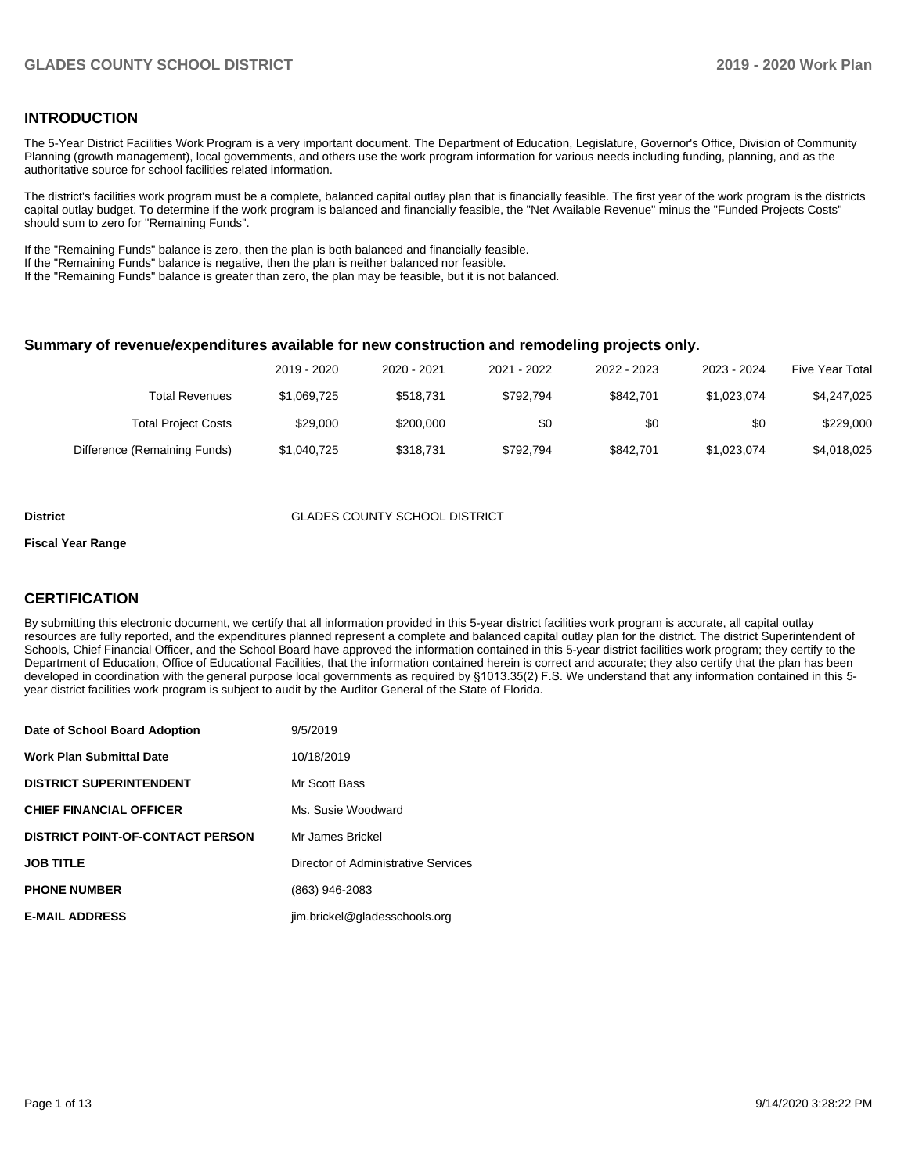## **INTRODUCTION**

The 5-Year District Facilities Work Program is a very important document. The Department of Education, Legislature, Governor's Office, Division of Community Planning (growth management), local governments, and others use the work program information for various needs including funding, planning, and as the authoritative source for school facilities related information.

The district's facilities work program must be a complete, balanced capital outlay plan that is financially feasible. The first year of the work program is the districts capital outlay budget. To determine if the work program is balanced and financially feasible, the "Net Available Revenue" minus the "Funded Projects Costs" should sum to zero for "Remaining Funds".

If the "Remaining Funds" balance is zero, then the plan is both balanced and financially feasible.

If the "Remaining Funds" balance is negative, then the plan is neither balanced nor feasible.

If the "Remaining Funds" balance is greater than zero, the plan may be feasible, but it is not balanced.

### **Summary of revenue/expenditures available for new construction and remodeling projects only.**

| <b>Five Year Total</b> | 2023 - 2024 | 2022 - 2023 | 2021 - 2022 | 2020 - 2021 | 2019 - 2020 |                              |
|------------------------|-------------|-------------|-------------|-------------|-------------|------------------------------|
| \$4,247,025            | \$1.023.074 | \$842.701   | \$792.794   | \$518.731   | \$1,069,725 | <b>Total Revenues</b>        |
| \$229,000              | \$0         | \$0         | \$0         | \$200,000   | \$29,000    | <b>Total Project Costs</b>   |
| \$4,018,025            | \$1,023,074 | \$842.701   | \$792.794   | \$318.731   | \$1,040,725 | Difference (Remaining Funds) |

#### **District GLADES COUNTY SCHOOL DISTRICT**

#### **Fiscal Year Range**

## **CERTIFICATION**

By submitting this electronic document, we certify that all information provided in this 5-year district facilities work program is accurate, all capital outlay resources are fully reported, and the expenditures planned represent a complete and balanced capital outlay plan for the district. The district Superintendent of Schools, Chief Financial Officer, and the School Board have approved the information contained in this 5-year district facilities work program; they certify to the Department of Education, Office of Educational Facilities, that the information contained herein is correct and accurate; they also certify that the plan has been developed in coordination with the general purpose local governments as required by §1013.35(2) F.S. We understand that any information contained in this 5 year district facilities work program is subject to audit by the Auditor General of the State of Florida.

| Date of School Board Adoption           | 9/5/2019                            |
|-----------------------------------------|-------------------------------------|
| Work Plan Submittal Date                | 10/18/2019                          |
| <b>DISTRICT SUPERINTENDENT</b>          | Mr Scott Bass                       |
| <b>CHIEF FINANCIAL OFFICER</b>          | Ms. Susie Woodward                  |
| <b>DISTRICT POINT-OF-CONTACT PERSON</b> | Mr James Brickel                    |
| JOB TITLE                               | Director of Administrative Services |
| <b>PHONE NUMBER</b>                     | (863) 946-2083                      |
| <b>E-MAIL ADDRESS</b>                   | jim.brickel@gladesschools.org       |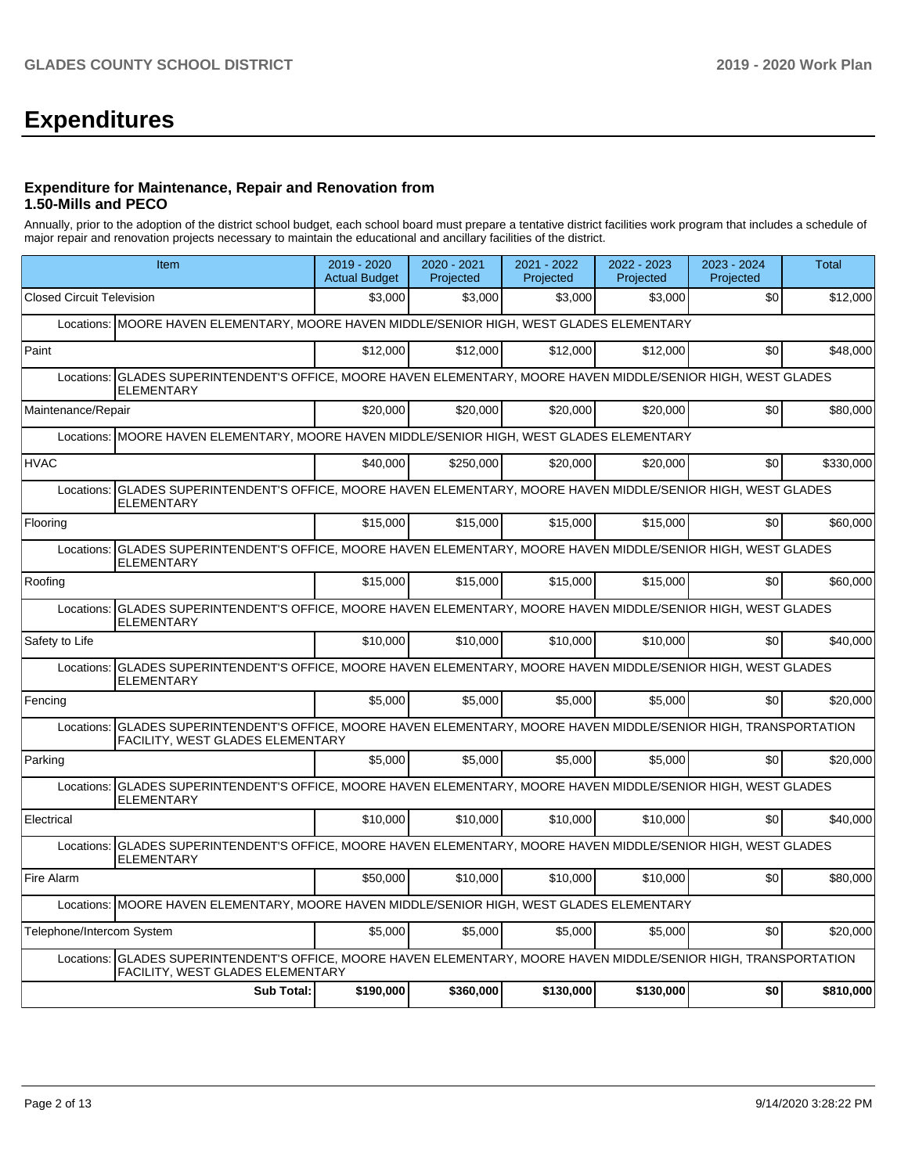# **Expenditures**

## **Expenditure for Maintenance, Repair and Renovation from 1.50-Mills and PECO**

Annually, prior to the adoption of the district school budget, each school board must prepare a tentative district facilities work program that includes a schedule of major repair and renovation projects necessary to maintain the educational and ancillary facilities of the district.

| Item                                                                                                                                                     | $2019 - 2020$<br><b>Actual Budget</b> | 2020 - 2021<br>Projected | 2021 - 2022<br>Projected | 2022 - 2023<br>Projected | 2023 - 2024<br>Projected | <b>Total</b> |
|----------------------------------------------------------------------------------------------------------------------------------------------------------|---------------------------------------|--------------------------|--------------------------|--------------------------|--------------------------|--------------|
| <b>Closed Circuit Television</b>                                                                                                                         | \$3.000                               | \$3.000                  | \$3.000                  | \$3.000                  | \$0                      | \$12,000     |
| Locations: MOORE HAVEN ELEMENTARY, MOORE HAVEN MIDDLE/SENIOR HIGH, WEST GLADES ELEMENTARY                                                                |                                       |                          |                          |                          |                          |              |
| Paint                                                                                                                                                    | \$12,000                              | \$12,000                 | \$12,000                 | \$12,000                 | \$0                      | \$48,000     |
| GLADES SUPERINTENDENT'S OFFICE, MOORE HAVEN ELEMENTARY, MOORE HAVEN MIDDLE/SENIOR HIGH, WEST GLADES<br>Locations:<br><b>ELEMENTARY</b>                   |                                       |                          |                          |                          |                          |              |
| Maintenance/Repair                                                                                                                                       | \$20,000                              | \$20.000                 | \$20,000                 | \$20,000                 | \$0                      | \$80,000     |
| Locations: MOORE HAVEN ELEMENTARY, MOORE HAVEN MIDDLE/SENIOR HIGH, WEST GLADES ELEMENTARY                                                                |                                       |                          |                          |                          |                          |              |
| <b>HVAC</b>                                                                                                                                              | \$40,000                              | \$250,000                | \$20,000                 | \$20,000                 | \$0                      | \$330,000    |
| Locations: GLADES SUPERINTENDENT'S OFFICE, MOORE HAVEN ELEMENTARY, MOORE HAVEN MIDDLE/SENIOR HIGH, WEST GLADES<br><b>ELEMENTARY</b>                      |                                       |                          |                          |                          |                          |              |
| Flooring                                                                                                                                                 | \$15,000                              | \$15,000                 | \$15,000                 | \$15,000                 | \$0                      | \$60,000     |
| GLADES SUPERINTENDENT'S OFFICE, MOORE HAVEN ELEMENTARY, MOORE HAVEN MIDDLE/SENIOR HIGH, WEST GLADES<br>Locations:<br><b>ELEMENTARY</b>                   |                                       |                          |                          |                          |                          |              |
| Roofing                                                                                                                                                  | \$15,000                              | \$15,000                 | \$15,000                 | \$15,000                 | \$0                      | \$60,000     |
| GLADES SUPERINTENDENT'S OFFICE, MOORE HAVEN ELEMENTARY, MOORE HAVEN MIDDLE/SENIOR HIGH, WEST GLADES<br>Locations:<br><b>ELEMENTARY</b>                   |                                       |                          |                          |                          |                          |              |
| Safety to Life                                                                                                                                           | \$10,000                              | \$10,000                 | \$10,000                 | \$10,000                 | \$0                      | \$40,000     |
| GLADES SUPERINTENDENT'S OFFICE, MOORE HAVEN ELEMENTARY, MOORE HAVEN MIDDLE/SENIOR HIGH, WEST GLADES<br>Locations:<br><b>ELEMENTARY</b>                   |                                       |                          |                          |                          |                          |              |
| Fencing                                                                                                                                                  | \$5,000                               | \$5,000                  | \$5,000                  | \$5,000                  | \$0                      | \$20,000     |
| GLADES SUPERINTENDENT'S OFFICE, MOORE HAVEN ELEMENTARY, MOORE HAVEN MIDDLE/SENIOR HIGH, TRANSPORTATION<br>Locations:<br>FACILITY, WEST GLADES ELEMENTARY |                                       |                          |                          |                          |                          |              |
| Parking                                                                                                                                                  | \$5,000                               | \$5,000                  | \$5,000                  | \$5,000                  | \$0                      | \$20,000     |
| GLADES SUPERINTENDENT'S OFFICE, MOORE HAVEN ELEMENTARY, MOORE HAVEN MIDDLE/SENIOR HIGH, WEST GLADES<br>Locations:<br><b>ELEMENTARY</b>                   |                                       |                          |                          |                          |                          |              |
| Electrical                                                                                                                                               | \$10,000                              | \$10.000                 | \$10,000                 | \$10,000                 | \$0                      | \$40,000     |
| GLADES SUPERINTENDENT'S OFFICE, MOORE HAVEN ELEMENTARY, MOORE HAVEN MIDDLE/SENIOR HIGH, WEST GLADES<br>Locations:<br><b>ELEMENTARY</b>                   |                                       |                          |                          |                          |                          |              |
| Fire Alarm                                                                                                                                               | \$50,000                              | \$10.000                 | \$10,000                 | \$10,000                 | \$0                      | \$80,000     |
| Locations: MOORE HAVEN ELEMENTARY, MOORE HAVEN MIDDLE/SENIOR HIGH, WEST GLADES ELEMENTARY                                                                |                                       |                          |                          |                          |                          |              |
| Telephone/Intercom System                                                                                                                                | \$5,000                               | \$5,000                  | \$5,000                  | \$5,000                  | \$0                      | \$20,000     |
| Locations: GLADES SUPERINTENDENT'S OFFICE, MOORE HAVEN ELEMENTARY, MOORE HAVEN MIDDLE/SENIOR HIGH, TRANSPORTATION<br>FACILITY, WEST GLADES ELEMENTARY    |                                       |                          |                          |                          |                          |              |
| <b>Sub Total:</b>                                                                                                                                        | \$190,000                             | \$360,000                | \$130,000                | \$130,000                | \$0                      | \$810,000    |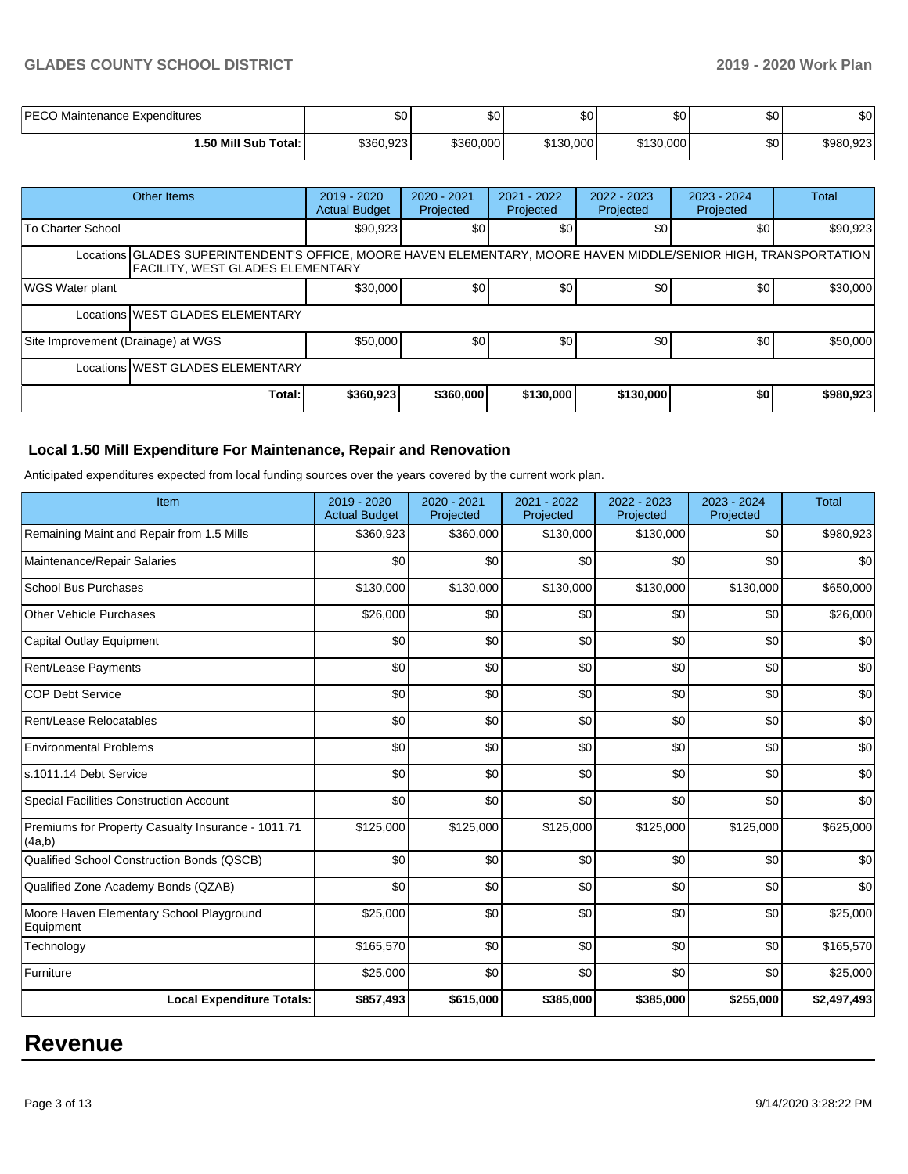## **GLADES COUNTY SCHOOL DISTRICT 2019 - 2020 Work Plan**

| <b>PECO Maintenance Expenditures</b> | \$0       | ሖ<br>æυ   | <b>SO</b> | Φo<br>ພບ  | ሶሳ<br>υU | \$0       |
|--------------------------------------|-----------|-----------|-----------|-----------|----------|-----------|
| <b>∣.50 Mill Sub Total: I</b>        | \$360,923 | \$360,000 | \$130,000 | \$130,000 | \$0      | \$980,923 |

|                                                                                                                                                             | Other Items                      | $2019 - 2020$<br><b>Actual Budget</b> | 2020 - 2021<br>Projected | 2021 - 2022<br>Projected | $2022 - 2023$<br>Projected | $2023 - 2024$<br>Projected | <b>Total</b> |
|-------------------------------------------------------------------------------------------------------------------------------------------------------------|----------------------------------|---------------------------------------|--------------------------|--------------------------|----------------------------|----------------------------|--------------|
| To Charter School                                                                                                                                           |                                  | \$90,923                              | <b>\$01</b>              | \$0                      | \$0                        | \$0                        | \$90,923     |
| Locations GLADES SUPERINTENDENT'S OFFICE, MOORE HAVEN ELEMENTARY, MOORE HAVEN MIDDLE/SENIOR HIGH, TRANSPORTATION<br><b>FACILITY. WEST GLADES ELEMENTARY</b> |                                  |                                       |                          |                          |                            |                            |              |
| <b>WGS Water plant</b>                                                                                                                                      |                                  | \$30,000                              | \$0 <sub>1</sub>         | \$0                      | \$0                        | \$0                        | \$30,000     |
|                                                                                                                                                             | Locations WEST GLADES ELEMENTARY |                                       |                          |                          |                            |                            |              |
| Site Improvement (Drainage) at WGS                                                                                                                          |                                  | \$50,000                              | \$0                      | \$0                      | \$0                        | \$0                        | \$50,000     |
|                                                                                                                                                             | Locations WEST GLADES ELEMENTARY |                                       |                          |                          |                            |                            |              |
|                                                                                                                                                             | Total:                           | \$360,923                             | \$360,000                | \$130,000                | \$130,000                  | \$0                        | \$980,923    |

## **Local 1.50 Mill Expenditure For Maintenance, Repair and Renovation**

Anticipated expenditures expected from local funding sources over the years covered by the current work plan.

| Item                                                         | 2019 - 2020<br><b>Actual Budget</b> | 2020 - 2021<br>Projected | 2021 - 2022<br>Projected | 2022 - 2023<br>Projected | 2023 - 2024<br>Projected | <b>Total</b> |
|--------------------------------------------------------------|-------------------------------------|--------------------------|--------------------------|--------------------------|--------------------------|--------------|
| Remaining Maint and Repair from 1.5 Mills                    | \$360,923                           | \$360,000                | \$130,000                | \$130,000                | \$0                      | \$980,923    |
| Maintenance/Repair Salaries                                  | \$0                                 | \$0                      | \$0                      | \$0                      | \$0                      | \$0          |
| <b>School Bus Purchases</b>                                  | \$130,000                           | \$130,000                | \$130,000                | \$130,000                | \$130,000                | \$650,000    |
| Other Vehicle Purchases                                      | \$26,000                            | \$0                      | \$0                      | \$0                      | \$0                      | \$26,000     |
| Capital Outlay Equipment                                     | \$0                                 | \$0                      | \$0                      | \$0                      | \$0                      | \$0          |
| Rent/Lease Payments                                          | \$0                                 | \$0                      | \$0                      | \$0                      | \$0                      | \$0          |
| <b>COP Debt Service</b>                                      | \$0                                 | \$0                      | \$0                      | \$0                      | \$0                      | \$0          |
| Rent/Lease Relocatables                                      | \$0                                 | \$0                      | \$0                      | \$0                      | \$0                      | \$0          |
| <b>Environmental Problems</b>                                | \$0                                 | \$0                      | \$0                      | \$0                      | \$0                      | \$0          |
| s.1011.14 Debt Service                                       | \$0                                 | \$0                      | \$0                      | \$0                      | \$0                      | \$0          |
| Special Facilities Construction Account                      | \$0                                 | \$0                      | \$0                      | \$0                      | \$0                      | \$0          |
| Premiums for Property Casualty Insurance - 1011.71<br>(4a,b) | \$125,000                           | \$125,000                | \$125,000                | \$125,000                | \$125,000                | \$625,000    |
| Qualified School Construction Bonds (QSCB)                   | \$0                                 | \$0                      | \$0                      | \$0                      | \$0                      | \$0          |
| Qualified Zone Academy Bonds (QZAB)                          | \$0                                 | \$0                      | \$0                      | \$0                      | \$0                      | \$0          |
| Moore Haven Elementary School Playground<br>Equipment        | \$25,000                            | \$0                      | \$0                      | \$0                      | \$0                      | \$25,000     |
| Technology                                                   | \$165,570                           | \$0                      | \$0                      | \$0                      | \$0                      | \$165,570    |
| Furniture                                                    | \$25,000                            | \$0                      | \$0                      | \$0                      | \$0                      | \$25,000     |
| <b>Local Expenditure Totals:</b>                             | \$857,493                           | \$615,000                | \$385,000                | \$385,000                | \$255,000                | \$2,497,493  |

## **Revenue**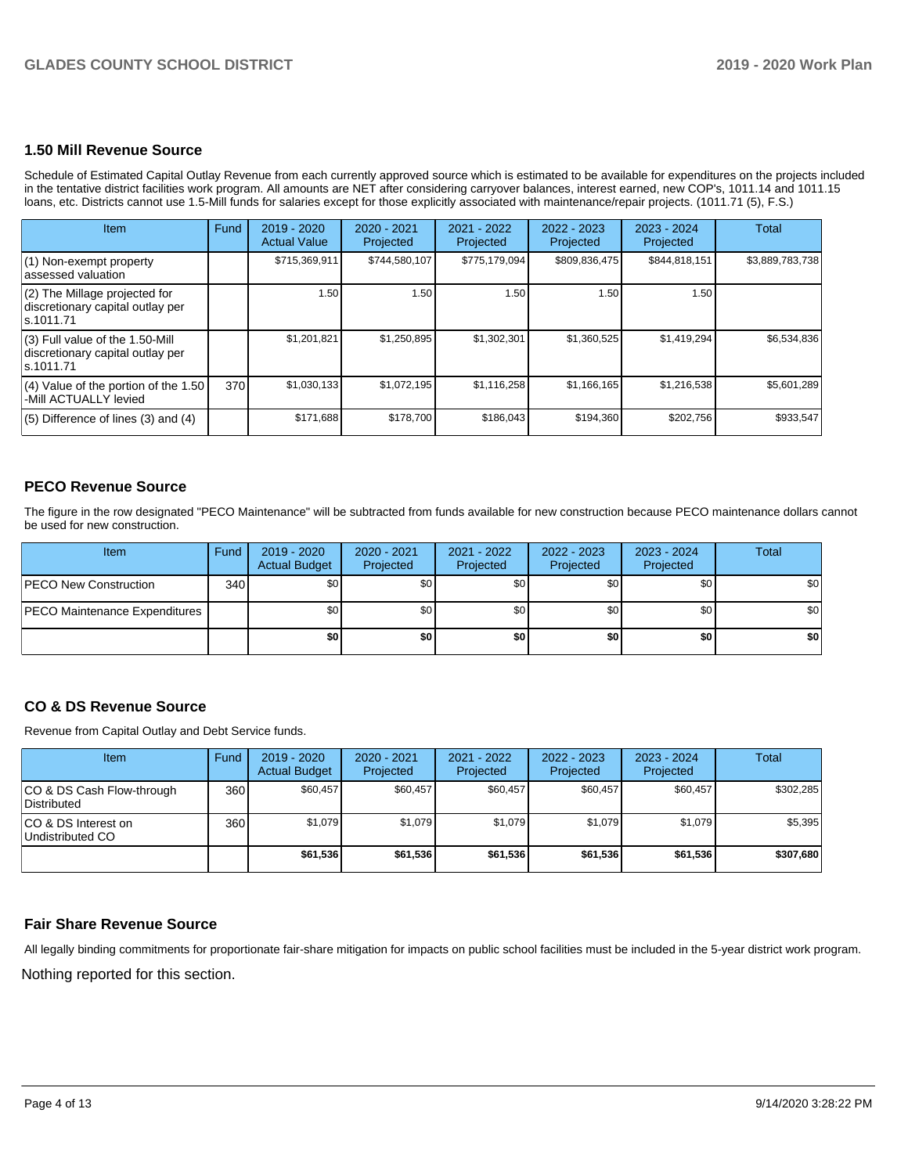## **1.50 Mill Revenue Source**

Schedule of Estimated Capital Outlay Revenue from each currently approved source which is estimated to be available for expenditures on the projects included in the tentative district facilities work program. All amounts are NET after considering carryover balances, interest earned, new COP's, 1011.14 and 1011.15 loans, etc. Districts cannot use 1.5-Mill funds for salaries except for those explicitly associated with maintenance/repair projects. (1011.71 (5), F.S.)

| Item                                                                                | <b>Fund</b> | $2019 - 2020$<br><b>Actual Value</b> | 2020 - 2021<br>Projected | 2021 - 2022<br>Projected | $2022 - 2023$<br>Projected | $2023 - 2024$<br>Projected | Total           |
|-------------------------------------------------------------------------------------|-------------|--------------------------------------|--------------------------|--------------------------|----------------------------|----------------------------|-----------------|
| $(1)$ Non-exempt property<br>lassessed valuation                                    |             | \$715,369,911                        | \$744,580,107            | \$775,179,094            | \$809,836,475              | \$844,818,151              | \$3,889,783,738 |
| $(2)$ The Millage projected for<br>discretionary capital outlay per<br>ls.1011.71   |             | 1.50                                 | 1.50                     | 1.50                     | 1.50                       | 1.50                       |                 |
| $(3)$ Full value of the 1.50-Mill<br>discretionary capital outlay per<br>ls.1011.71 |             | \$1,201,821                          | \$1,250,895              | \$1,302,301              | \$1,360,525                | \$1,419,294                | \$6,534,836     |
| $(4)$ Value of the portion of the 1.50<br>-Mill ACTUALLY levied                     | 370         | \$1,030,133                          | \$1,072,195              | \$1,116,258              | \$1,166,165                | \$1,216,538                | \$5,601,289     |
| $(5)$ Difference of lines $(3)$ and $(4)$                                           |             | \$171,688                            | \$178,700                | \$186,043                | \$194,360                  | \$202,756                  | \$933,547       |

## **PECO Revenue Source**

The figure in the row designated "PECO Maintenance" will be subtracted from funds available for new construction because PECO maintenance dollars cannot be used for new construction.

| Item                                 | Fund | 2019 - 2020<br><b>Actual Budget</b> | 2020 - 2021<br>Projected | 2021 - 2022<br>Projected | $2022 - 2023$<br>Projected | 2023 - 2024<br>Projected | Total            |
|--------------------------------------|------|-------------------------------------|--------------------------|--------------------------|----------------------------|--------------------------|------------------|
| <b>IPECO New Construction</b>        | 340  | \$0 <sub>1</sub>                    | \$0 <sub>1</sub>         | \$0                      | \$0                        | \$0                      | \$0 <sub>1</sub> |
| <b>PECO Maintenance Expenditures</b> |      | \$0                                 | \$٥Ι                     | \$0                      | \$0 <sub>1</sub>           | \$0                      | \$0 <sub>1</sub> |
|                                      |      | \$0                                 | \$٥١                     | \$0                      | \$0                        | \$0                      | \$0              |

## **CO & DS Revenue Source**

Revenue from Capital Outlay and Debt Service funds.

| Item                                      | Fund | $2019 - 2020$<br><b>Actual Budget</b> | 2020 - 2021<br>Projected | 2021 - 2022<br>Projected | 2022 - 2023<br>Projected | $2023 - 2024$<br>Projected | Total     |
|-------------------------------------------|------|---------------------------------------|--------------------------|--------------------------|--------------------------|----------------------------|-----------|
| ICO & DS Cash Flow-through<br>Distributed | 360  | \$60,457                              | \$60.457                 | \$60.457                 | \$60,457                 | \$60.457                   | \$302,285 |
| ICO & DS Interest on<br>Undistributed CO  | 360  | \$1.079                               | \$1,079                  | \$1,079                  | \$1.079                  | \$1,079                    | \$5,395   |
|                                           |      | \$61,536                              | \$61,536                 | \$61,536                 | \$61,536                 | \$61,536                   | \$307,680 |

## **Fair Share Revenue Source**

Nothing reported for this section. All legally binding commitments for proportionate fair-share mitigation for impacts on public school facilities must be included in the 5-year district work program.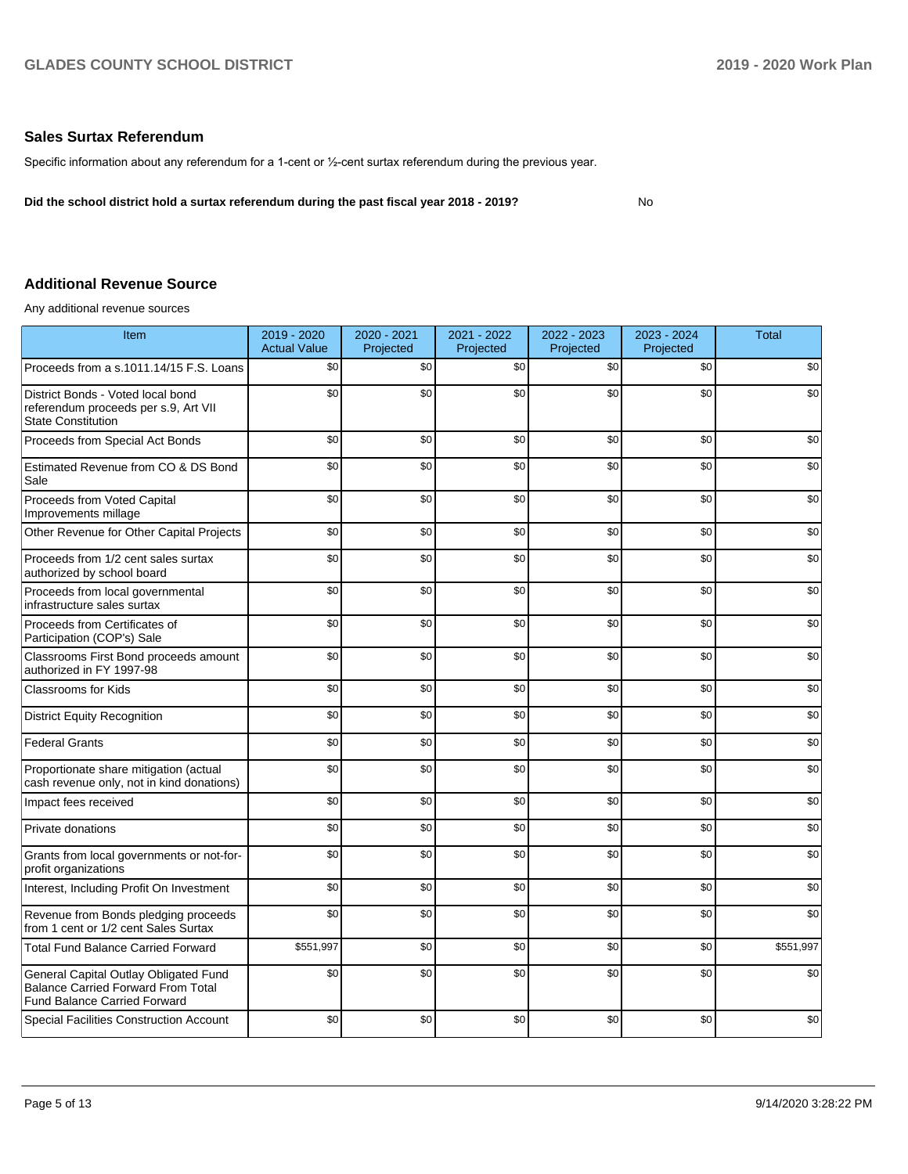### **Sales Surtax Referendum**

Specific information about any referendum for a 1-cent or ½-cent surtax referendum during the previous year.

**Did the school district hold a surtax referendum during the past fiscal year 2018 - 2019?**

No

## **Additional Revenue Source**

Any additional revenue sources

| Item                                                                                                                      | 2019 - 2020<br><b>Actual Value</b> | 2020 - 2021<br>Projected | 2021 - 2022<br>Projected | 2022 - 2023<br>Projected | 2023 - 2024<br>Projected | <b>Total</b> |
|---------------------------------------------------------------------------------------------------------------------------|------------------------------------|--------------------------|--------------------------|--------------------------|--------------------------|--------------|
| Proceeds from a s.1011.14/15 F.S. Loans                                                                                   | \$0                                | \$0                      | \$0                      | \$0                      | \$0                      | \$0          |
| District Bonds - Voted local bond<br>referendum proceeds per s.9, Art VII<br><b>State Constitution</b>                    | \$0                                | \$0                      | \$0                      | \$0                      | \$0                      | \$0          |
| Proceeds from Special Act Bonds                                                                                           | \$0                                | \$0                      | \$0                      | \$0                      | \$0                      | \$0          |
| Estimated Revenue from CO & DS Bond<br>Sale                                                                               | \$0                                | \$0                      | \$0                      | \$0                      | \$0                      | \$0          |
| Proceeds from Voted Capital<br>Improvements millage                                                                       | \$0                                | \$0                      | \$0                      | \$0                      | \$0                      | \$0          |
| Other Revenue for Other Capital Projects                                                                                  | \$0                                | \$0                      | \$0                      | \$0                      | \$0                      | \$0          |
| Proceeds from 1/2 cent sales surtax<br>authorized by school board                                                         | \$0                                | \$0                      | \$0                      | \$0                      | \$0                      | \$0          |
| Proceeds from local governmental<br>infrastructure sales surtax                                                           | \$0                                | \$0                      | \$0                      | \$0                      | \$0                      | \$0          |
| Proceeds from Certificates of<br>Participation (COP's) Sale                                                               | \$0                                | \$0                      | \$0                      | \$0                      | \$0                      | \$0          |
| Classrooms First Bond proceeds amount<br>authorized in FY 1997-98                                                         | \$0                                | \$0                      | \$0                      | \$0                      | \$0                      | \$0          |
| <b>Classrooms for Kids</b>                                                                                                | \$0                                | \$0                      | \$0                      | \$0                      | \$0                      | \$0          |
| <b>District Equity Recognition</b>                                                                                        | \$0                                | \$0                      | \$0                      | \$0                      | \$0                      | \$0          |
| <b>Federal Grants</b>                                                                                                     | \$0                                | \$0                      | \$0                      | \$0                      | \$0                      | \$0          |
| Proportionate share mitigation (actual<br>cash revenue only, not in kind donations)                                       | \$0                                | \$0                      | \$0                      | \$0                      | \$0                      | \$0          |
| Impact fees received                                                                                                      | \$0                                | \$0                      | \$0                      | \$0                      | \$0                      | \$0          |
| Private donations                                                                                                         | \$0                                | \$0                      | \$0                      | \$0                      | \$0                      | \$0          |
| Grants from local governments or not-for-<br>profit organizations                                                         | \$0                                | \$0                      | \$0                      | \$0                      | \$0                      | \$0          |
| Interest, Including Profit On Investment                                                                                  | \$0                                | \$0                      | \$0                      | \$0                      | \$0                      | \$0          |
| Revenue from Bonds pledging proceeds<br>from 1 cent or 1/2 cent Sales Surtax                                              | \$0                                | \$0                      | \$0                      | \$0                      | \$0                      | \$0          |
| <b>Total Fund Balance Carried Forward</b>                                                                                 | \$551,997                          | \$0                      | \$0                      | \$0                      | \$0                      | \$551,997    |
| General Capital Outlay Obligated Fund<br><b>Balance Carried Forward From Total</b><br><b>Fund Balance Carried Forward</b> | \$0                                | \$0                      | \$0                      | \$0                      | \$0                      | \$0          |
| <b>Special Facilities Construction Account</b>                                                                            | \$0                                | \$0                      | \$0                      | \$0                      | \$0                      | \$0          |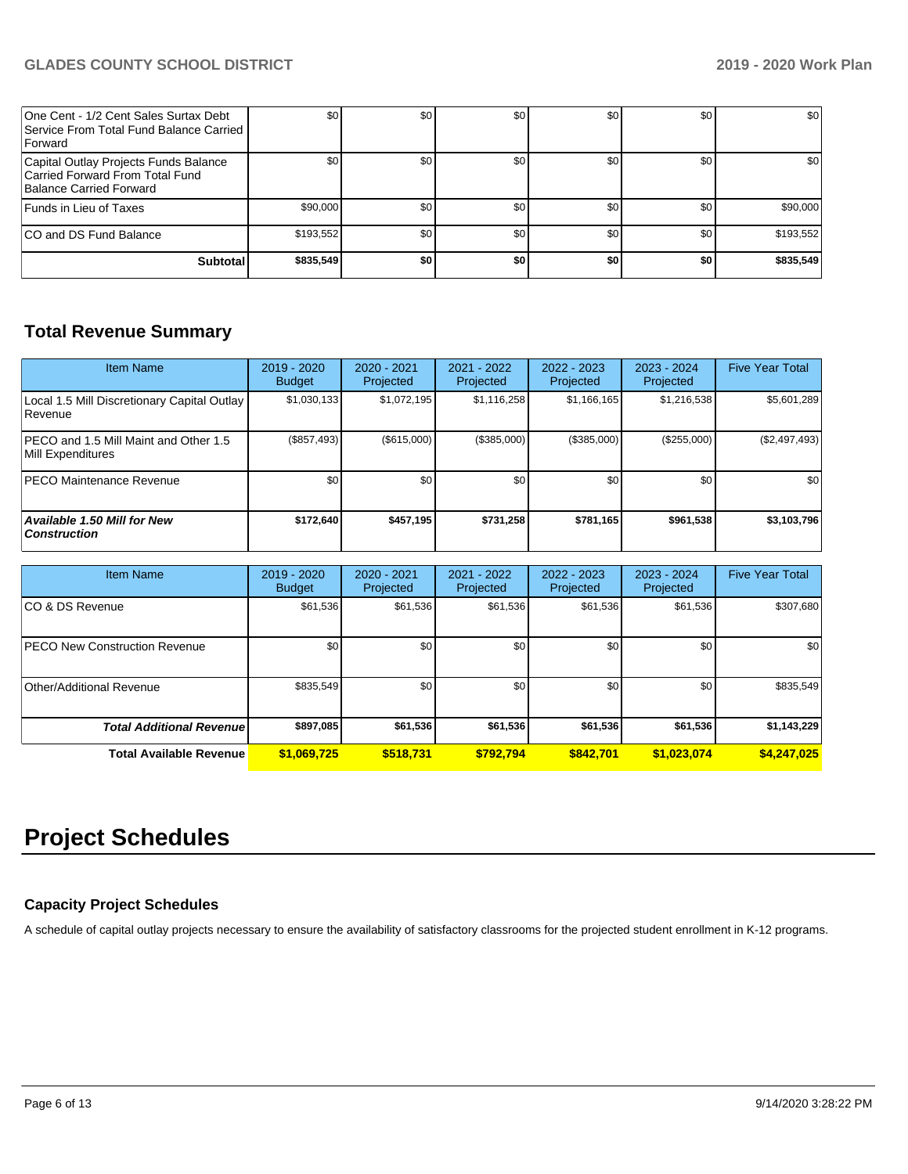| One Cent - 1/2 Cent Sales Surtax Debt<br>Service From Total Fund Balance Carried<br><b>Forward</b>  | \$0              | \$0 <sub>1</sub> | \$0 | \$0 | \$0 | \$0       |
|-----------------------------------------------------------------------------------------------------|------------------|------------------|-----|-----|-----|-----------|
| Capital Outlay Projects Funds Balance<br>Carried Forward From Total Fund<br>Balance Carried Forward | \$0 <sub>1</sub> | \$0              | \$0 | \$0 | \$0 | \$0       |
| Funds in Lieu of Taxes                                                                              | \$90,000         | \$0 <sub>1</sub> | \$0 | \$0 | \$0 | \$90,000  |
| ICO and DS Fund Balance                                                                             | \$193,552        | \$0 <sub>1</sub> | \$0 | \$0 | \$0 | \$193,552 |
| <b>Subtotal</b>                                                                                     | \$835,549        | \$0              | \$0 | \$0 | \$0 | \$835,549 |

## **Total Revenue Summary**

| <b>Item Name</b>                                            | $2019 - 2020$<br><b>Budget</b> | 2020 - 2021<br>Projected | 2021 - 2022<br><b>Projected</b> | 2022 - 2023<br>Projected | 2023 - 2024<br>Projected | <b>Five Year Total</b> |
|-------------------------------------------------------------|--------------------------------|--------------------------|---------------------------------|--------------------------|--------------------------|------------------------|
| Local 1.5 Mill Discretionary Capital Outlay<br>l Revenue    | \$1,030,133                    | \$1,072,195              | \$1,116,258                     | \$1,166,165              | \$1,216,538              | \$5,601,289            |
| IPECO and 1.5 Mill Maint and Other 1.5<br>Mill Expenditures | $(\$857,493)$                  | (\$615,000)              | (\$385,000)                     | (\$385,000)              | (\$255,000)              | (\$2,497,493)          |
| <b>PECO Maintenance Revenue</b>                             | \$0 <sub>1</sub>               | \$0                      | \$0                             | \$0                      | \$0 <sub>1</sub>         | \$0                    |
| Available 1.50 Mill for New<br><b>Construction</b>          | \$172.640                      | \$457,195                | \$731.258                       | \$781,165                | \$961,538                | \$3,103,796            |

| <b>Item Name</b>                      | 2019 - 2020<br><b>Budget</b> | 2020 - 2021<br>Projected | 2021 - 2022<br>Projected | 2022 - 2023<br>Projected | 2023 - 2024<br>Projected | <b>Five Year Total</b> |
|---------------------------------------|------------------------------|--------------------------|--------------------------|--------------------------|--------------------------|------------------------|
| ICO & DS Revenue                      | \$61,536                     | \$61,536                 | \$61,536                 | \$61,536                 | \$61,536                 | \$307,680              |
| <b>IPECO New Construction Revenue</b> | \$0 <sub>1</sub>             | \$0                      | \$0                      | \$0                      | \$0                      | \$0                    |
| Other/Additional Revenue              | \$835,549                    | \$0                      | \$0                      | \$0                      | \$0                      | \$835,549              |
| <b>Total Additional Revenuel</b>      | \$897,085                    | \$61,536                 | \$61,536                 | \$61,536                 | \$61,536                 | \$1,143,229            |
| <b>Total Available Revenue</b>        | \$1,069,725                  | \$518.731                | \$792.794                | \$842.701                | \$1,023,074              | \$4,247,025            |

# **Project Schedules**

## **Capacity Project Schedules**

A schedule of capital outlay projects necessary to ensure the availability of satisfactory classrooms for the projected student enrollment in K-12 programs.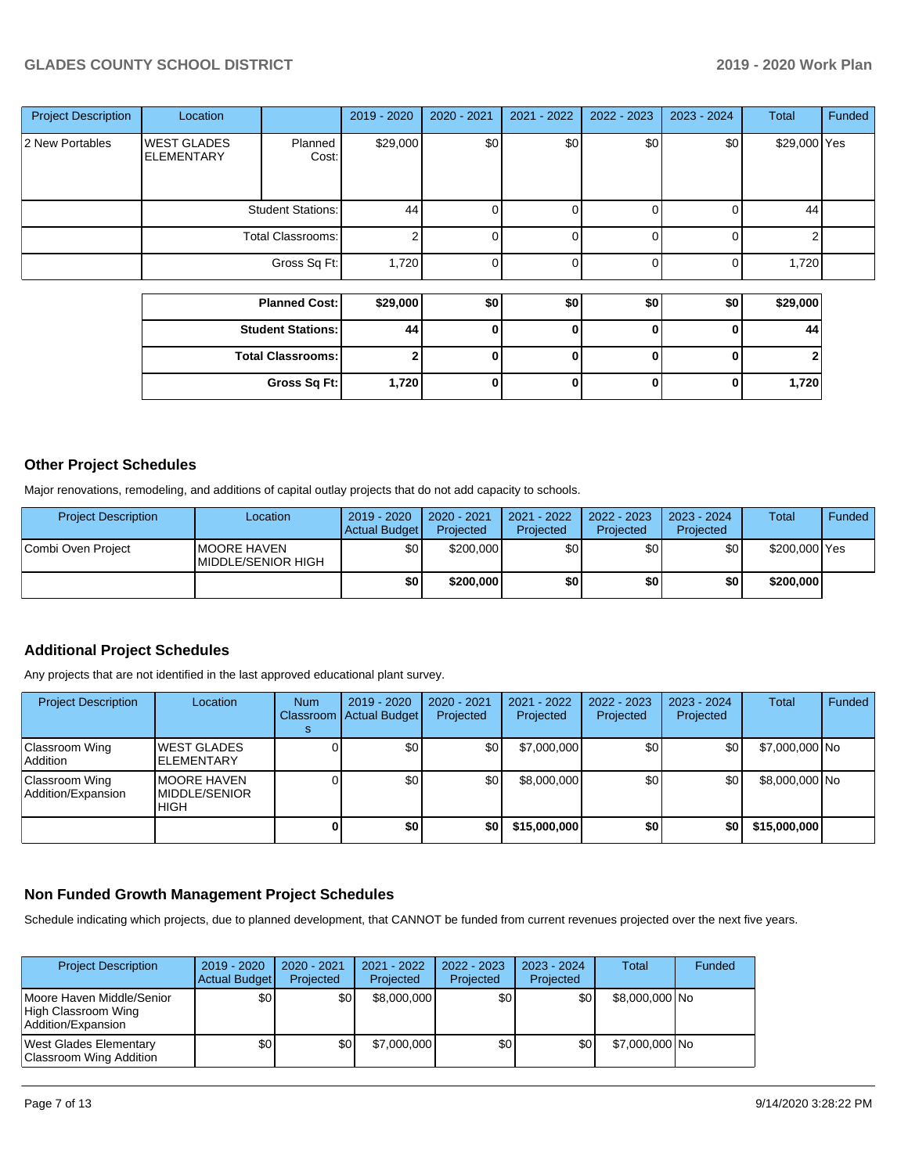## **GLADES COUNTY SCHOOL DISTRICT 2019 - 2020 Work Plan**

| <b>Project Description</b> | Location                                 |                          | 2019 - 2020 | 2020 - 2021  | 2021 - 2022 | 2022 - 2023 | 2023 - 2024 | <b>Total</b> | <b>Funded</b> |
|----------------------------|------------------------------------------|--------------------------|-------------|--------------|-------------|-------------|-------------|--------------|---------------|
| 2 New Portables            | <b>WEST GLADES</b><br><b>IELEMENTARY</b> | Planned<br>Cost:         | \$29,000    | \$0          | \$0         | \$0         | \$0         | \$29,000 Yes |               |
|                            |                                          | <b>Student Stations:</b> | 44          |              |             |             | $\Omega$    | 44           |               |
|                            | <b>Total Classrooms:</b>                 |                          |             |              |             |             |             | ົ            |               |
|                            |                                          | Gross Sq Ft:             | 1,720       |              |             |             |             | 1,720        |               |
|                            |                                          |                          |             |              |             |             |             |              |               |
|                            |                                          | <b>Planned Cost:</b>     | \$29,000    | \$0          | \$0         | \$0         | \$0         | \$29,000     |               |
|                            |                                          | <b>Student Stations:</b> | 44          | 0            | 0           |             | 0           | 44           |               |
|                            |                                          | <b>Total Classrooms:</b> |             | $\mathbf{0}$ | 0           | 0           | 0           |              |               |

**Gross Sq Ft: 1,720 0 0 0 0 1,720**

## **Other Project Schedules**

Major renovations, remodeling, and additions of capital outlay projects that do not add capacity to schools.

| <b>Project Description</b> | Location                                          | $2019 - 2020$<br>Actual Budget | 2020 - 2021<br>Projected | $2021 - 2022$<br>Projected | 2022 - 2023<br>Projected | 2023 - 2024<br>Projected | <b>Total</b>  | Funded |
|----------------------------|---------------------------------------------------|--------------------------------|--------------------------|----------------------------|--------------------------|--------------------------|---------------|--------|
| Combi Oven Project         | <b>IMOORE HAVEN</b><br><b>IMIDDLE/SENIOR HIGH</b> | \$0                            | \$200,000                | \$٥Ι                       | ا 30                     | \$0                      | \$200,000 Yes |        |
|                            |                                                   | \$0 I                          | \$200,000                | \$0                        | \$0                      | \$0                      | \$200,000     |        |

## **Additional Project Schedules**

Any projects that are not identified in the last approved educational plant survey.

| <b>Project Description</b>           | Location                                              | <b>Num</b> | $2019 - 2020$<br>Classroom Actual Budget | 2020 - 2021<br>Projected | 2021 - 2022<br>Projected | 2022 - 2023<br>Projected | 2023 - 2024<br>Projected | Total          | Funded |
|--------------------------------------|-------------------------------------------------------|------------|------------------------------------------|--------------------------|--------------------------|--------------------------|--------------------------|----------------|--------|
| Classroom Wing<br> Addition          | <b>WEST GLADES</b><br><b>ELEMENTARY</b>               |            | \$0                                      | \$0                      | \$7,000,000              | \$0                      | \$0                      | \$7,000,000 No |        |
| Classroom Wing<br>Addition/Expansion | <b>IMOORE HAVEN</b><br><b>IMIDDLE/SENIOR</b><br>IHIGH |            | \$0                                      | \$0                      | \$8,000,000              | \$0                      | \$0                      | \$8,000,000 No |        |
|                                      |                                                       |            | \$0                                      | \$0                      | \$15,000,000             | \$0                      | \$0                      | \$15,000,000   |        |

## **Non Funded Growth Management Project Schedules**

Schedule indicating which projects, due to planned development, that CANNOT be funded from current revenues projected over the next five years.

| <b>Project Description</b>                                             | 2019 - 2020<br>Actual Budget | 2020 - 2021<br>Projected | 2021 - 2022<br>Projected | 2022 - 2023<br>Projected | $2023 - 2024$<br>Projected | Total          | Funded |
|------------------------------------------------------------------------|------------------------------|--------------------------|--------------------------|--------------------------|----------------------------|----------------|--------|
| Moore Haven Middle/Senior<br>High Classroom Wing<br>Addition/Expansion | \$0                          | \$0                      | \$8,000,000              | \$0 <sub>1</sub>         | \$0.                       | \$8,000,000 No |        |
| West Glades Elementary<br>Classroom Wing Addition                      | \$0                          | \$0                      | \$7,000,000              | \$0 <sub>1</sub>         | \$0                        | \$7,000,000 No |        |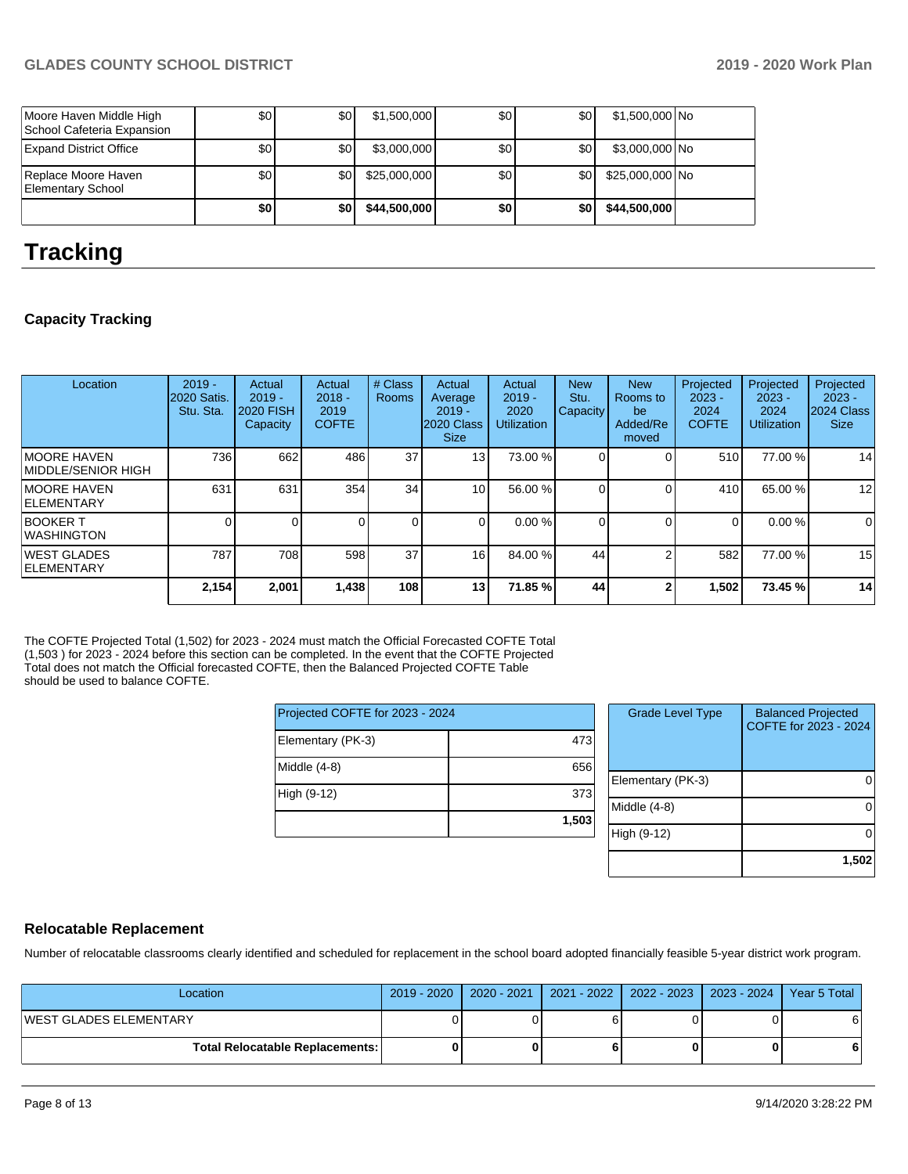|                                                       | \$0 | \$0 I | \$44,500,000 | \$0 | \$0              | \$44,500,000    |  |
|-------------------------------------------------------|-----|-------|--------------|-----|------------------|-----------------|--|
| Replace Moore Haven<br>Elementary School              | \$0 | \$0 I | \$25,000,000 | \$0 | \$0 <sub>1</sub> | \$25,000,000 No |  |
| <b>Expand District Office</b>                         | \$0 | ا 30  | \$3,000,000  | \$0 | \$0 <sub>1</sub> | \$3,000,000 No  |  |
| Moore Haven Middle High<br>School Cafeteria Expansion | \$0 | ا80   | \$1,500,000  | \$0 | \$0 <sub>1</sub> | \$1,500,000 No  |  |

# **Tracking**

## **Capacity Tracking**

| Location                                   | $2019 -$<br>2020 Satis.<br>Stu. Sta. | Actual<br>$2019 -$<br>2020 FISH<br><b>Capacity</b> | Actual<br>$2018 -$<br>2019<br><b>COFTE</b> | # Class<br>Rooms | Actual<br>Average<br>$2019 -$<br>2020 Class<br><b>Size</b> | Actual<br>$2019 -$<br>2020<br><b>Utilization</b> | <b>New</b><br>Stu.<br><b>Capacity</b> | <b>New</b><br>Rooms to<br>be<br>Added/Re<br>moved | Projected<br>$2023 -$<br>2024<br><b>COFTE</b> | Projected<br>$2023 -$<br>2024<br><b>Utilization</b> | Projected<br>$2023 -$<br>2024 Class<br><b>Size</b> |
|--------------------------------------------|--------------------------------------|----------------------------------------------------|--------------------------------------------|------------------|------------------------------------------------------------|--------------------------------------------------|---------------------------------------|---------------------------------------------------|-----------------------------------------------|-----------------------------------------------------|----------------------------------------------------|
| <b>IMOORE HAVEN</b><br>IMIDDLE/SENIOR HIGH | 736                                  | 662                                                | 486                                        | 37               | 13                                                         | 73.00 %                                          |                                       | $\Omega$                                          | 510                                           | 77.00 %                                             | 14                                                 |
| IMOORE HAVEN<br><b>IELEMENTARY</b>         | 631                                  | 631                                                | 354                                        | 34               | 10                                                         | 56.00 %                                          |                                       | $\Omega$                                          | 410                                           | 65.00 %                                             | 12                                                 |
| <b>BOOKER T</b><br>IWASHINGTON             |                                      | 0                                                  |                                            | $\Omega$         | $\Omega$                                                   | 0.00%                                            |                                       | $\Omega$                                          | 0                                             | 0.00%                                               | 0                                                  |
| <b>IWEST GLADES</b><br><b>IELEMENTARY</b>  | 787                                  | 708                                                | 598                                        | 37               | 16                                                         | 84.00 %                                          | 44                                    |                                                   | 582                                           | 77.00 %                                             | 15                                                 |
|                                            | 2,154                                | 2,001                                              | 1,438                                      | 108              | 13                                                         | 71.85%                                           | 44                                    |                                                   | 1,502                                         | 73.45 %                                             | 14                                                 |

The COFTE Projected Total (1,502) for 2023 - 2024 must match the Official Forecasted COFTE Total (1,503 ) for 2023 - 2024 before this section can be completed. In the event that the COFTE Projected Total does not match the Official forecasted COFTE, then the Balanced Projected COFTE Table should be used to balance COFTE.

| Projected COFTE for 2023 - 2024 |       |  |  |  |  |  |
|---------------------------------|-------|--|--|--|--|--|
| Elementary (PK-3)               | 473   |  |  |  |  |  |
| Middle (4-8)                    | 656   |  |  |  |  |  |
| High (9-12)                     | 373   |  |  |  |  |  |
|                                 | 1,503 |  |  |  |  |  |

| <b>Grade Level Type</b> | <b>Balanced Projected</b><br>COFTE for 2023 - 2024 |
|-------------------------|----------------------------------------------------|
| Elementary (PK-3)       |                                                    |
| Middle (4-8)            |                                                    |
| High (9-12)             |                                                    |
|                         | 1,502                                              |

## **Relocatable Replacement**

Number of relocatable classrooms clearly identified and scheduled for replacement in the school board adopted financially feasible 5-year district work program.

| Location                        |  | 2019 - 2020   2020 - 2021   2021 - 2022   2022 - 2023   2023 - 2024 | Year 5 Total |
|---------------------------------|--|---------------------------------------------------------------------|--------------|
| <b>WEST GLADES ELEMENTARY</b>   |  |                                                                     | 6            |
| Total Relocatable Replacements: |  |                                                                     | 6            |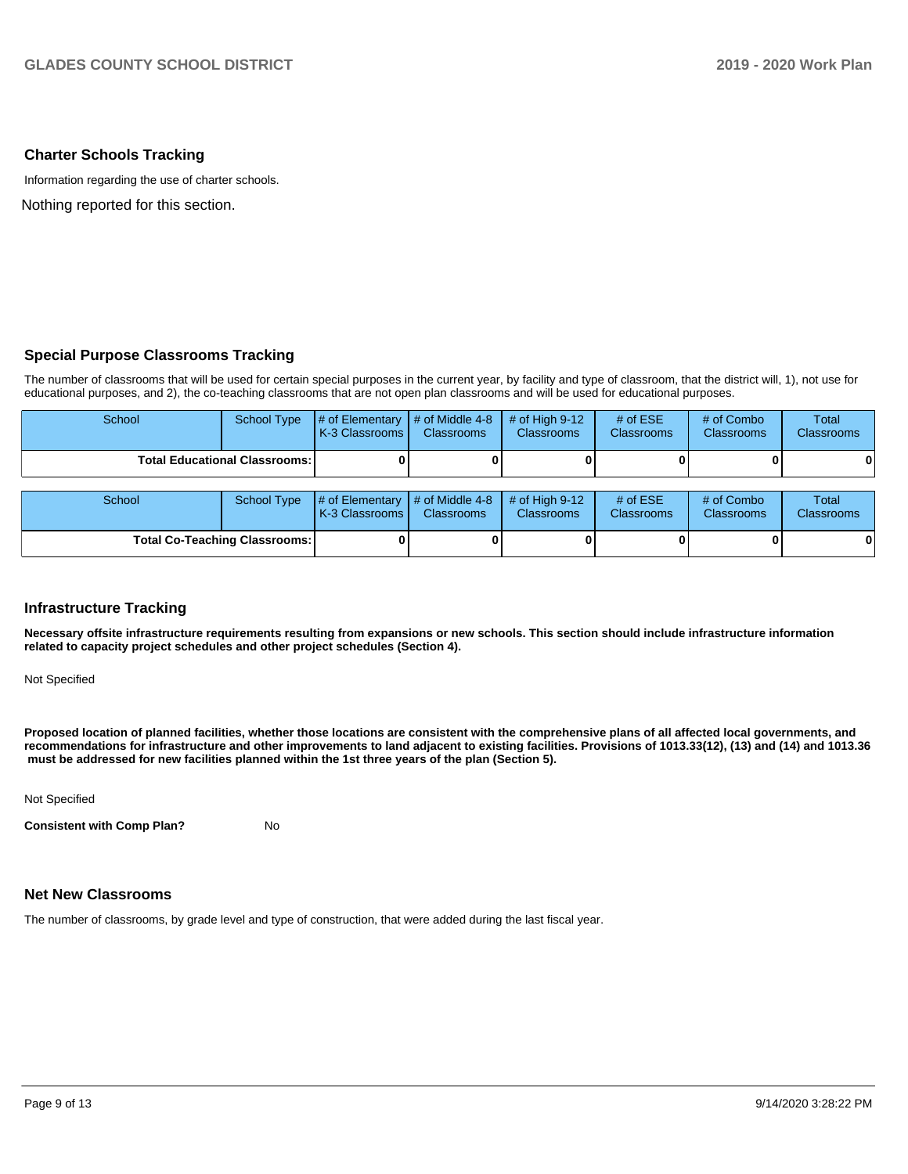## **Charter Schools Tracking**

Information regarding the use of charter schools.

Nothing reported for this section.

## **Special Purpose Classrooms Tracking**

The number of classrooms that will be used for certain special purposes in the current year, by facility and type of classroom, that the district will, 1), not use for educational purposes, and 2), the co-teaching classrooms that are not open plan classrooms and will be used for educational purposes.

| School                               | <b>School Type</b>                   | # of Elementary<br>K-3 Classrooms | # of Middle 4-8<br><b>Classrooms</b> | # of High $9-12$<br><b>Classrooms</b> | # of $ESE$<br><b>Classrooms</b> | # of Combo<br><b>Classrooms</b> | Total<br><b>Classrooms</b> |
|--------------------------------------|--------------------------------------|-----------------------------------|--------------------------------------|---------------------------------------|---------------------------------|---------------------------------|----------------------------|
|                                      | <b>Total Educational Classrooms:</b> |                                   |                                      |                                       |                                 |                                 | 0                          |
| School                               | <b>School Type</b>                   | # of Elementary<br>K-3 Classrooms | $#$ of Middle 4-8<br>Classrooms      | # of High $9-12$<br><b>Classrooms</b> | # of $ESE$<br>Classrooms        | # of Combo<br>Classrooms        | Total<br><b>Classrooms</b> |
| <b>Total Co-Teaching Classrooms:</b> |                                      |                                   |                                      |                                       |                                 | 0                               |                            |

## **Infrastructure Tracking**

**Necessary offsite infrastructure requirements resulting from expansions or new schools. This section should include infrastructure information related to capacity project schedules and other project schedules (Section 4).** 

Not Specified

**Proposed location of planned facilities, whether those locations are consistent with the comprehensive plans of all affected local governments, and recommendations for infrastructure and other improvements to land adjacent to existing facilities. Provisions of 1013.33(12), (13) and (14) and 1013.36** must be addressed for new facilities planned within the 1st three years of the plan (Section 5).

Not Specified

**Consistent with Comp Plan?** No

## **Net New Classrooms**

The number of classrooms, by grade level and type of construction, that were added during the last fiscal year.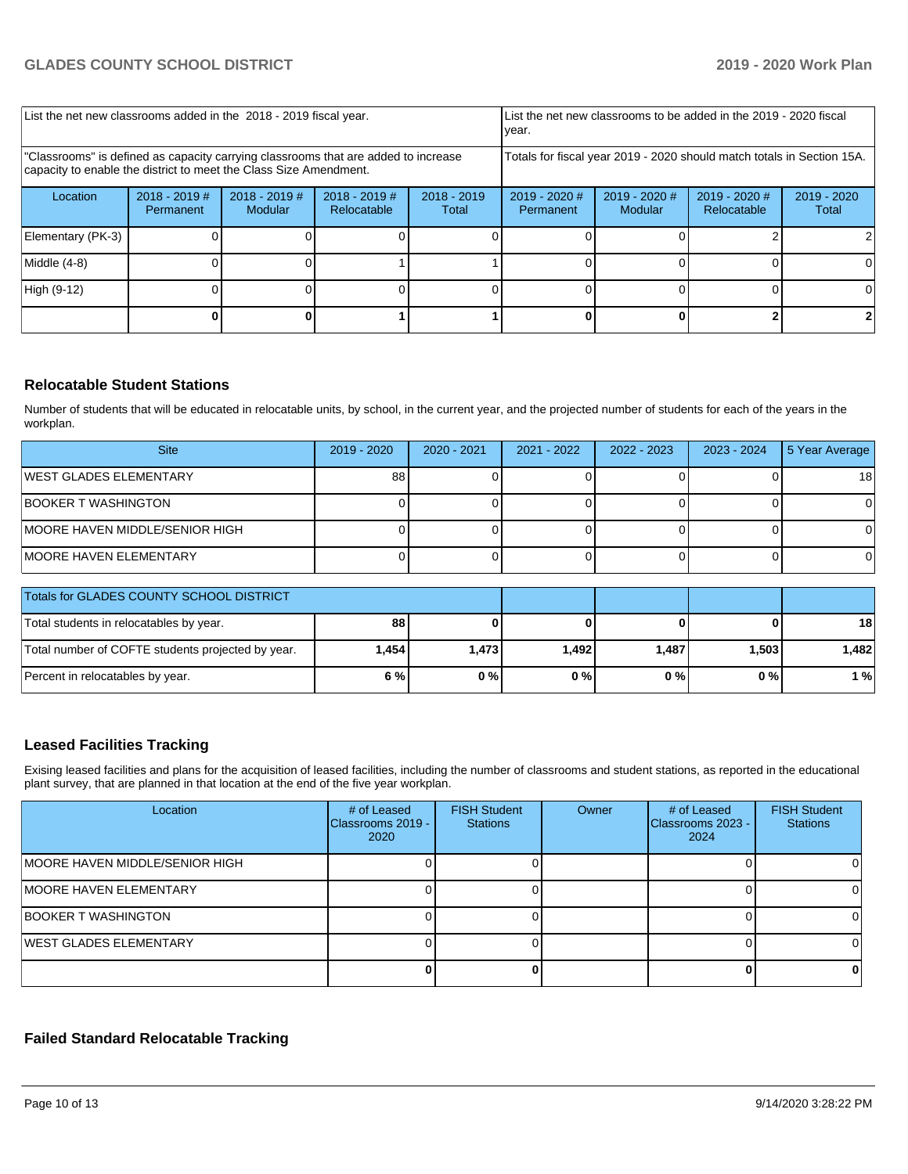| List the net new classrooms added in the 2018 - 2019 fiscal year.                                                                                       |                              |                            |                                |                        | List the net new classrooms to be added in the 2019 - 2020 fiscal<br>year.                                  |  |  |    |  |
|---------------------------------------------------------------------------------------------------------------------------------------------------------|------------------------------|----------------------------|--------------------------------|------------------------|-------------------------------------------------------------------------------------------------------------|--|--|----|--|
| 'Classrooms" is defined as capacity carrying classrooms that are added to increase<br>capacity to enable the district to meet the Class Size Amendment. |                              |                            |                                |                        | Totals for fiscal year 2019 - 2020 should match totals in Section 15A.                                      |  |  |    |  |
| Location                                                                                                                                                | $2018 - 2019$ #<br>Permanent | $2018 - 2019$ #<br>Modular | $2018 - 2019$ #<br>Relocatable | $2018 - 2019$<br>Total | $2019 - 2020$ #<br>$2019 - 2020$ #<br>2019 - 2020 #<br>$2019 - 2020$<br>Relocatable<br>Modular<br>Permanent |  |  |    |  |
| Elementary (PK-3)                                                                                                                                       |                              |                            |                                |                        |                                                                                                             |  |  |    |  |
| Middle (4-8)                                                                                                                                            |                              |                            |                                |                        |                                                                                                             |  |  |    |  |
| High (9-12)                                                                                                                                             |                              |                            |                                |                        |                                                                                                             |  |  | ΩI |  |
|                                                                                                                                                         |                              |                            |                                |                        |                                                                                                             |  |  |    |  |

## **Relocatable Student Stations**

Number of students that will be educated in relocatable units, by school, in the current year, and the projected number of students for each of the years in the workplan.

| <b>Site</b>                            | 2019 - 2020 | 2020 - 2021 | $2021 - 2022$ | 2022 - 2023 | 2023 - 2024 | 5 Year Average |
|----------------------------------------|-------------|-------------|---------------|-------------|-------------|----------------|
| <b>IWEST GLADES ELEMENTARY</b>         | 88          |             |               |             |             | 18             |
| <b>BOOKER T WASHINGTON</b>             |             |             |               |             |             |                |
| <b>IMOORE HAVEN MIDDLE/SENIOR HIGH</b> |             |             |               |             |             |                |
| <b>IMOORE HAVEN ELEMENTARY</b>         |             |             |               |             |             |                |

| Totals for GLADES COUNTY SCHOOL DISTRICT          |        |       |       |       |       |       |
|---------------------------------------------------|--------|-------|-------|-------|-------|-------|
| Total students in relocatables by year.           | 88     |       |       |       |       | 18    |
| Total number of COFTE students projected by year. | 1.4541 | 1.473 | 1.492 | 1.487 | 1,503 | 1.482 |
| Percent in relocatables by year.                  | 6 %    | 0%    | 0 % I | 0%    | 0%    | 1 %   |

## **Leased Facilities Tracking**

Exising leased facilities and plans for the acquisition of leased facilities, including the number of classrooms and student stations, as reported in the educational plant survey, that are planned in that location at the end of the five year workplan.

| Location                        | # of Leased<br>Classrooms 2019 -<br>2020 | <b>FISH Student</b><br><b>Stations</b> | Owner | # of Leased<br>Classrooms 2023 -<br>2024 | <b>FISH Student</b><br><b>Stations</b> |
|---------------------------------|------------------------------------------|----------------------------------------|-------|------------------------------------------|----------------------------------------|
| IMOORE HAVEN MIDDLE/SENIOR HIGH |                                          |                                        |       |                                          |                                        |
| <b>IMOORE HAVEN ELEMENTARY</b>  |                                          |                                        |       |                                          |                                        |
| BOOKER T WASHINGTON             |                                          |                                        |       |                                          |                                        |
| <b>WEST GLADES ELEMENTARY</b>   |                                          |                                        |       |                                          |                                        |
|                                 |                                          |                                        |       |                                          |                                        |

## **Failed Standard Relocatable Tracking**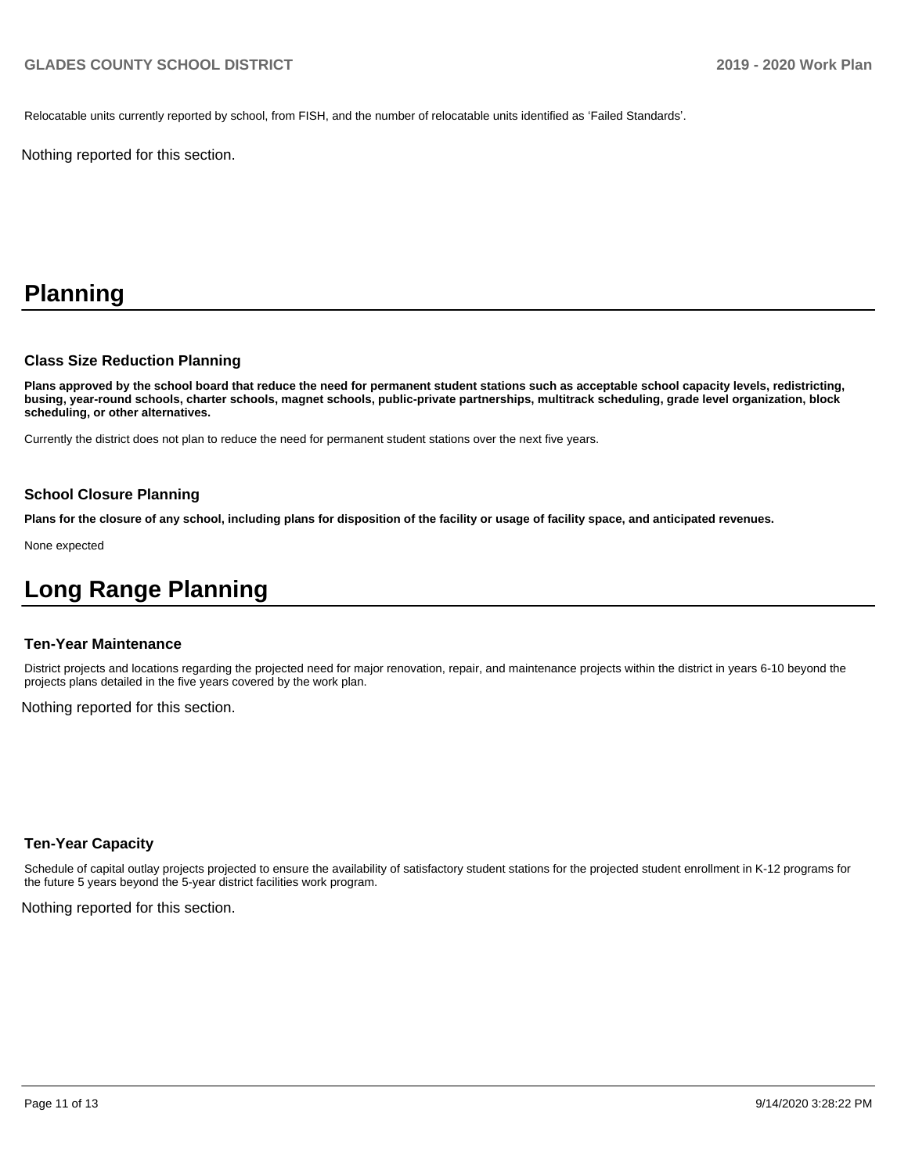Relocatable units currently reported by school, from FISH, and the number of relocatable units identified as 'Failed Standards'.

Nothing reported for this section.

# **Planning**

#### **Class Size Reduction Planning**

**Plans approved by the school board that reduce the need for permanent student stations such as acceptable school capacity levels, redistricting, busing, year-round schools, charter schools, magnet schools, public-private partnerships, multitrack scheduling, grade level organization, block scheduling, or other alternatives.**

Currently the district does not plan to reduce the need for permanent student stations over the next five years.

## **School Closure Planning**

**Plans for the closure of any school, including plans for disposition of the facility or usage of facility space, and anticipated revenues.** 

None expected

## **Long Range Planning**

#### **Ten-Year Maintenance**

District projects and locations regarding the projected need for major renovation, repair, and maintenance projects within the district in years 6-10 beyond the projects plans detailed in the five years covered by the work plan.

Nothing reported for this section.

## **Ten-Year Capacity**

Schedule of capital outlay projects projected to ensure the availability of satisfactory student stations for the projected student enrollment in K-12 programs for the future 5 years beyond the 5-year district facilities work program.

Nothing reported for this section.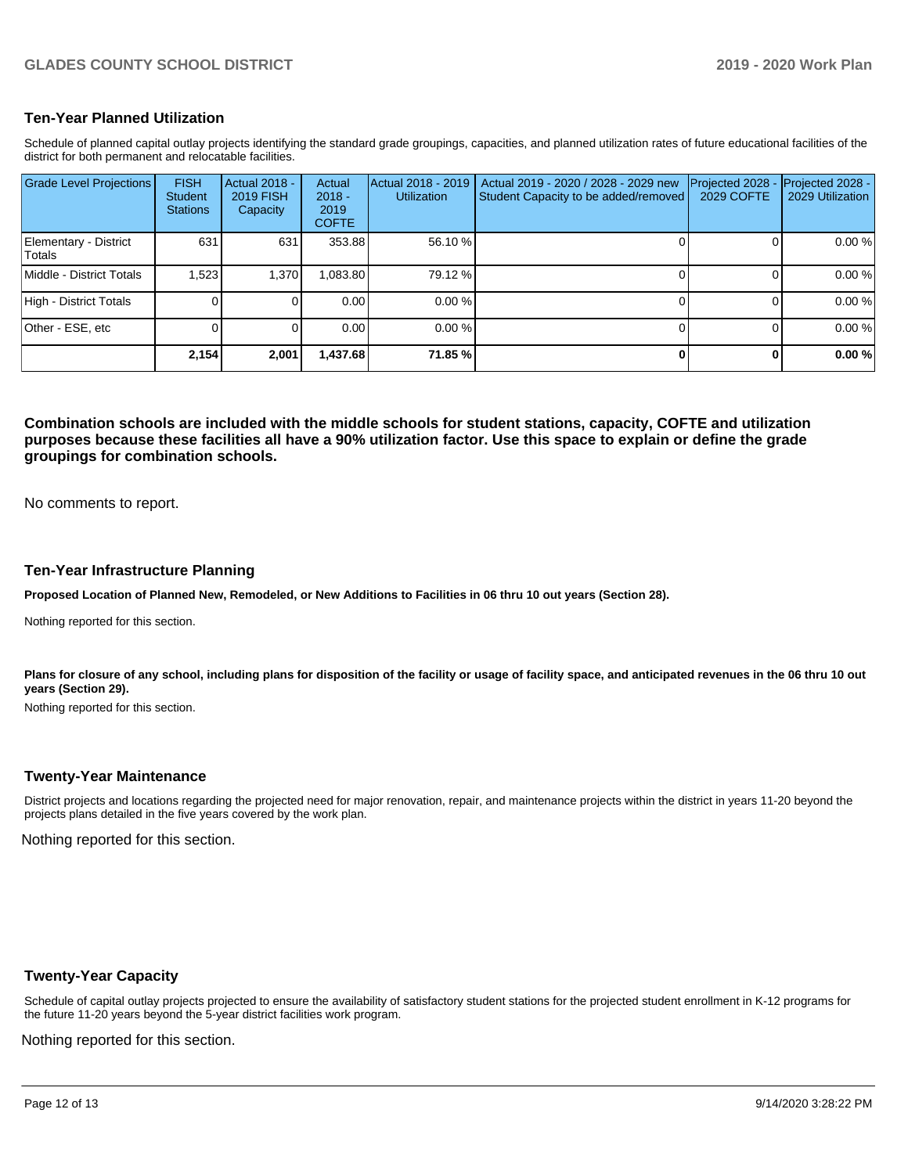## **Ten-Year Planned Utilization**

Schedule of planned capital outlay projects identifying the standard grade groupings, capacities, and planned utilization rates of future educational facilities of the district for both permanent and relocatable facilities.

| <b>Grade Level Projections</b>   | <b>FISH</b><br><b>Student</b><br><b>Stations</b> | Actual 2018 -<br><b>2019 FISH</b><br>Capacity | Actual<br>$2018 -$<br>2019<br><b>COFTE</b> | Actual 2018 - 2019<br><b>Utilization</b> | Actual 2019 - 2020 / 2028 - 2029 new<br>Student Capacity to be added/removed | Projected 2028<br>2029 COFTE | Projected 2028 -<br>2029 Utilization |
|----------------------------------|--------------------------------------------------|-----------------------------------------------|--------------------------------------------|------------------------------------------|------------------------------------------------------------------------------|------------------------------|--------------------------------------|
| Elementary - District<br>lTotals | 631                                              | 631                                           | 353.88                                     | 56.10 %                                  |                                                                              |                              | 0.00 %                               |
| Middle - District Totals         | 1,523                                            | 1,370                                         | .083.80                                    | 79.12 %                                  |                                                                              |                              | 0.00 %                               |
| High - District Totals           |                                                  |                                               | 0.00                                       | 0.00%                                    |                                                                              |                              | 0.00 %                               |
| Other - ESE, etc                 |                                                  |                                               | 0.00                                       | 0.00%                                    |                                                                              |                              | 0.00 %                               |
|                                  | 2,154                                            | 2,001                                         | 437.68,                                    | 71.85 %                                  |                                                                              |                              | 0.00%                                |

**Combination schools are included with the middle schools for student stations, capacity, COFTE and utilization purposes because these facilities all have a 90% utilization factor. Use this space to explain or define the grade groupings for combination schools.** 

No comments to report.

### **Ten-Year Infrastructure Planning**

**Proposed Location of Planned New, Remodeled, or New Additions to Facilities in 06 thru 10 out years (Section 28).**

Nothing reported for this section.

Plans for closure of any school, including plans for disposition of the facility or usage of facility space, and anticipated revenues in the 06 thru 10 out **years (Section 29).**

Nothing reported for this section.

## **Twenty-Year Maintenance**

District projects and locations regarding the projected need for major renovation, repair, and maintenance projects within the district in years 11-20 beyond the projects plans detailed in the five years covered by the work plan.

Nothing reported for this section.

## **Twenty-Year Capacity**

Schedule of capital outlay projects projected to ensure the availability of satisfactory student stations for the projected student enrollment in K-12 programs for the future 11-20 years beyond the 5-year district facilities work program.

Nothing reported for this section.